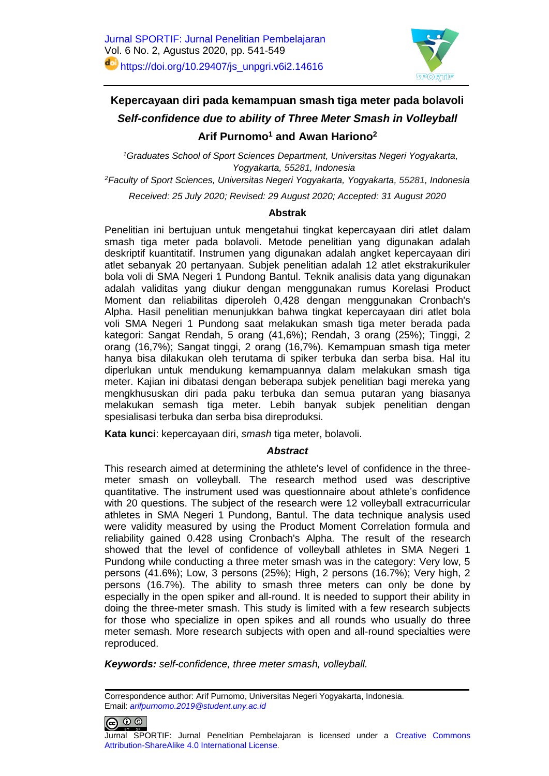

# **Kepercayaan diri pada kemampuan smash tiga meter pada bolavoli** *Self-confidence due to ability of Three Meter Smash in Volleyball* **Arif Purnomo<sup>1</sup> and Awan Hariono<sup>2</sup>**

*<sup>1</sup>Graduates School of Sport Sciences Department, Universitas Negeri Yogyakarta, Yogyakarta, 55281, Indonesia <sup>2</sup>Faculty of Sport Sciences, Universitas Negeri Yogyakarta, Yogyakarta, 55281, Indonesia*

*Received: 25 July 2020; Revised: 29 August 2020; Accepted: 31 August 2020*

#### **Abstrak**

Penelitian ini bertujuan untuk mengetahui tingkat kepercayaan diri atlet dalam smash tiga meter pada bolavoli. Metode penelitian yang digunakan adalah deskriptif kuantitatif. Instrumen yang digunakan adalah angket kepercayaan diri atlet sebanyak 20 pertanyaan. Subjek penelitian adalah 12 atlet ekstrakurikuler bola voli di SMA Negeri 1 Pundong Bantul. Teknik analisis data yang digunakan adalah validitas yang diukur dengan menggunakan rumus Korelasi Product Moment dan reliabilitas diperoleh 0,428 dengan menggunakan Cronbach's Alpha. Hasil penelitian menunjukkan bahwa tingkat kepercayaan diri atlet bola voli SMA Negeri 1 Pundong saat melakukan smash tiga meter berada pada kategori: Sangat Rendah, 5 orang (41,6%); Rendah, 3 orang (25%); Tinggi, 2 orang (16,7%); Sangat tinggi, 2 orang (16,7%). Kemampuan smash tiga meter hanya bisa dilakukan oleh terutama di spiker terbuka dan serba bisa. Hal itu diperlukan untuk mendukung kemampuannya dalam melakukan smash tiga meter. Kajian ini dibatasi dengan beberapa subjek penelitian bagi mereka yang mengkhususkan diri pada paku terbuka dan semua putaran yang biasanya melakukan semash tiga meter. Lebih banyak subjek penelitian dengan spesialisasi terbuka dan serba bisa direproduksi.

**Kata kunci**: kepercayaan diri, *smash* tiga meter, bolavoli.

## *Abstract*

This research aimed at determining the athlete's level of confidence in the threemeter smash on volleyball. The research method used was descriptive quantitative. The instrument used was questionnaire about athlete's confidence with 20 questions. The subject of the research were 12 volleyball extracurricular athletes in SMA Negeri 1 Pundong, Bantul. The data technique analysis used were validity measured by using the Product Moment Correlation formula and reliability gained 0.428 using Cronbach's Alpha*.* The result of the research showed that the level of confidence of volleyball athletes in SMA Negeri 1 Pundong while conducting a three meter smash was in the category: Very low, 5 persons (41.6%); Low, 3 persons (25%); High, 2 persons (16.7%); Very high, 2 persons (16.7%). The ability to smash three meters can only be done by especially in the open spiker and all-round. It is needed to support their ability in doing the three-meter smash. This study is limited with a few research subjects for those who specialize in open spikes and all rounds who usually do three meter semash. More research subjects with open and all-round specialties were reproduced.

*Keywords: self-confidence, three meter smash, volleyball.* 

Correspondence author: Arif Purnomo, Universitas Negeri Yogyakarta, Indonesia. Email: *[arifpurnomo.2019@student.uny.ac.id](mailto:arifpurnomo.2019@student.uny.ac.id)*

 $\bigcirc$   $\circ$ 

Jurnal SPORTIF: Jurnal Penelitian Pembelajaran is licensed under a [Creative Commons](http://creativecommons.org/licenses/by-sa/4.0/)  [Attribution-ShareAlike 4.0 International License](http://creativecommons.org/licenses/by-sa/4.0/).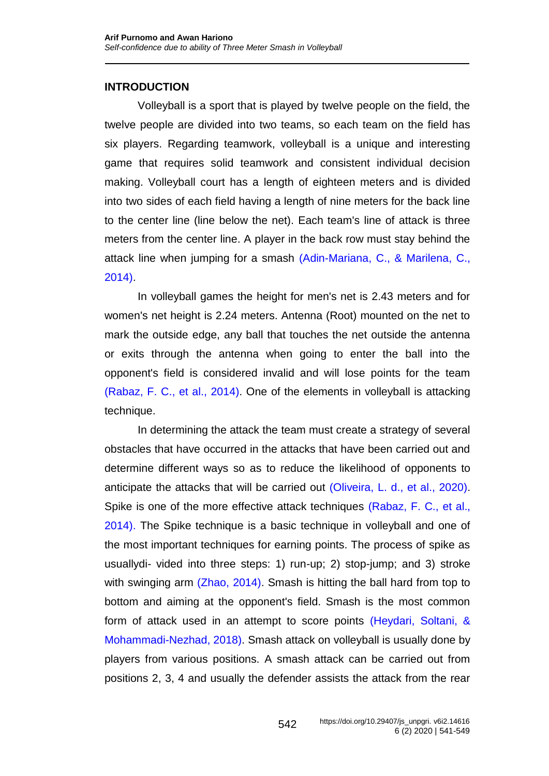# **INTRODUCTION**

Volleyball is a sport that is played by twelve people on the field, the twelve people are divided into two teams, so each team on the field has six players. Regarding teamwork, volleyball is a unique and interesting game that requires solid teamwork and consistent individual decision making. Volleyball court has a length of eighteen meters and is divided into two sides of each field having a length of nine meters for the back line to the center line (line below the net). Each team's line of attack is three meters from the center line. A player in the back row must stay behind the attack line when jumping for a smash [\(Adin-Mariana, C., & Marilena, C.,](#page-7-0)  [2014\).](#page-7-0)

In volleyball games the height for men's net is 2.43 meters and for women's net height is 2.24 meters. Antenna (Root) mounted on the net to mark the outside edge, any ball that touches the net outside the antenna or exits through the antenna when going to enter the ball into the opponent's field is considered invalid and will lose points for the team [\(Rabaz, F. C., et al.,](#page-8-0) 2014). One of the elements in volleyball is attacking technique.

In determining the attack the team must create a strategy of several obstacles that have occurred in the attacks that have been carried out and determine different ways so as to reduce the likelihood of opponents to anticipate the attacks that will be carried out [\(Oliveira, L. d., et al., 2020\).](#page-8-1) Spike is one of the more effective attack techniques [\(Rabaz, F. C., et al.,](#page-8-0) [2014\).](#page-8-0) The Spike technique is a basic technique in volleyball and one of the most important techniques for earning points. The process of spike as usuallydi- vided into three steps: 1) run-up; 2) stop-jump; and 3) stroke with swinging arm [\(Zhao, 2014\).](#page-8-2) Smash is hitting the ball hard from top to bottom and aiming at the opponent's field. Smash is the most common form of attack used in an attempt to score points [\(Heydari, Soltani, &](#page-8-3)  [Mohammadi-Nezhad, 2018\).](#page-8-3) Smash attack on volleyball is usually done by players from various positions. A smash attack can be carried out from positions 2, 3, 4 and usually the defender assists the attack from the rear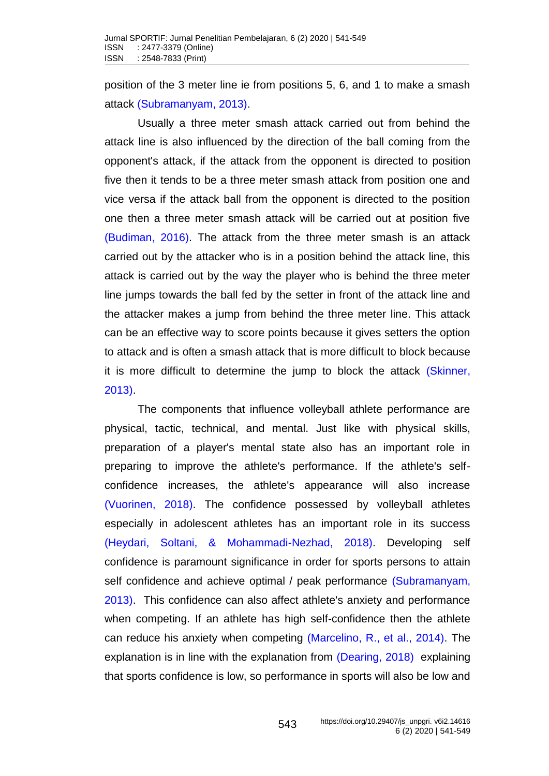position of the 3 meter line ie from positions 5, 6, and 1 to make a smash attack [\(Subramanyam, 2013\).](#page-8-4)

Usually a three meter smash attack carried out from behind the attack line is also influenced by the direction of the ball coming from the opponent's attack, if the attack from the opponent is directed to position five then it tends to be a three meter smash attack from position one and vice versa if the attack ball from the opponent is directed to the position one then a three meter smash attack will be carried out at position five [\(Budiman, 2016\).](#page-7-1) The attack from the three meter smash is an attack carried out by the attacker who is in a position behind the attack line, this attack is carried out by the way the player who is behind the three meter line jumps towards the ball fed by the setter in front of the attack line and the attacker makes a jump from behind the three meter line. This attack can be an effective way to score points because it gives setters the option to attack and is often a smash attack that is more difficult to block because it is more difficult to determine the jump to block the attack [\(Skinner,](#page-8-5)  [2013\).](#page-8-5)

The components that influence volleyball athlete performance are physical, tactic, technical, and mental. Just like with physical skills, preparation of a player's mental state also has an important role in preparing to improve the athlete's performance. If the athlete's selfconfidence increases, the athlete's appearance will also increase [\(Vuorinen,](#page-8-6) 2018). The confidence possessed by volleyball athletes especially in adolescent athletes has an important role in its success [\(Heydari, Soltani, & Mohammadi-Nezhad, 2018\).](#page-8-3) Developing self confidence is paramount significance in order for sports persons to attain self confidence and achieve optimal / peak performance (Subramanyam, [2013\).](#page-8-4) This confidence can also affect athlete's anxiety and performance when competing. If an athlete has high self-confidence then the athlete can reduce his anxiety when competing [\(Marcelino, R., et al., 2014\).](#page-8-7) The explanation is in line with the explanation from [\(Dearing,](#page-7-2) 2018) explaining that sports confidence is low, so performance in sports will also be low and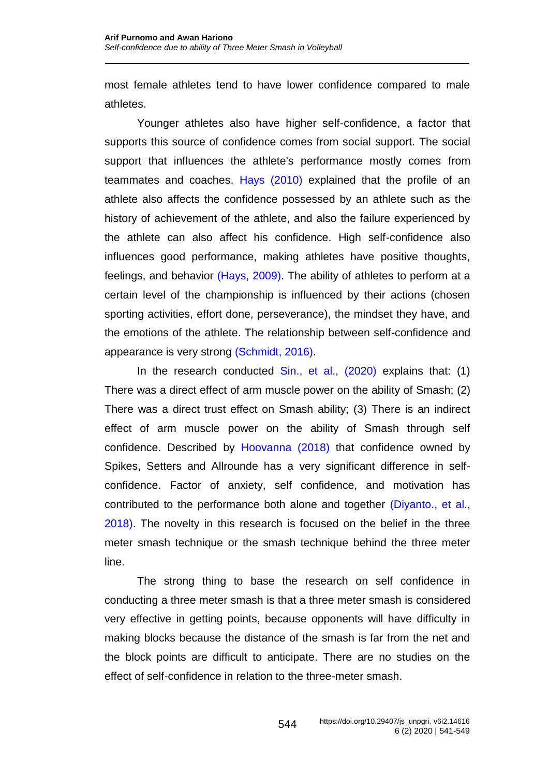most female athletes tend to have lower confidence compared to male athletes.

Younger athletes also have higher self-confidence, a factor that supports this source of confidence comes from social support. The social support that influences the athlete's performance mostly comes from teammates and coaches. [Hays \(2010\)](#page-8-8) explained that the profile of an athlete also affects the confidence possessed by an athlete such as the history of achievement of the athlete, and also the failure experienced by the athlete can also affect his confidence. High self-confidence also influences good performance, making athletes have positive thoughts, feelings, and behavior [\(Hays, 2009\).](#page-7-3) The ability of athletes to perform at a certain level of the championship is influenced by their actions (chosen sporting activities, effort done, perseverance), the mindset they have, and the emotions of the athlete. The relationship between self-confidence and appearance is very strong [\(Schmidt, 2016\).](#page-8-9)

In the research conducted  $Sin.$ , et al.,  $(2020)$  explains that:  $(1)$ There was a direct effect of arm muscle power on the ability of Smash; (2) There was a direct trust effect on Smash ability; (3) There is an indirect effect of arm muscle power on the ability of Smash through self confidence. Described by [Hoovanna \(2018\)](#page-8-11) that confidence owned by Spikes, Setters and Allrounde has a very significant difference in selfconfidence. Factor of anxiety, self confidence, and motivation has contributed to the performance both alone and together [\(Diyanto., et al.,](#page-7-4)  [2018\).](#page-7-4) The novelty in this research is focused on the belief in the three meter smash technique or the smash technique behind the three meter line.

The strong thing to base the research on self confidence in conducting a three meter smash is that a three meter smash is considered very effective in getting points, because opponents will have difficulty in making blocks because the distance of the smash is far from the net and the block points are difficult to anticipate. There are no studies on the effect of self-confidence in relation to the three-meter smash.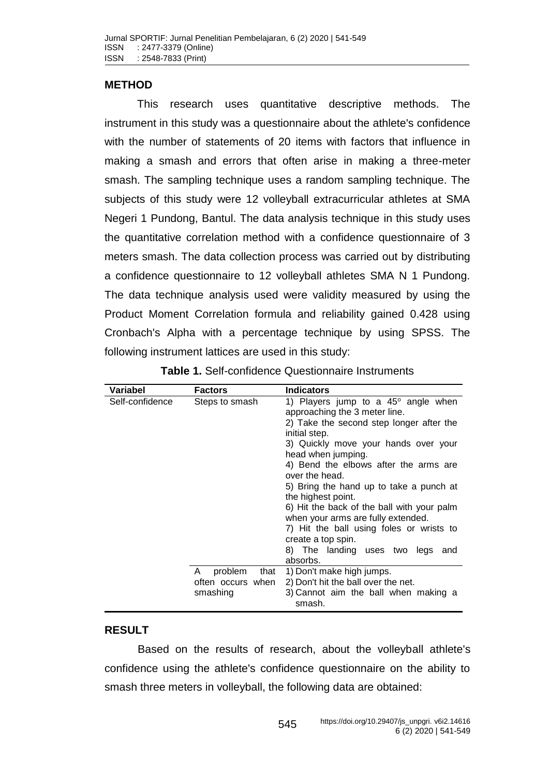## **METHOD**

This research uses quantitative descriptive methods. The instrument in this study was a questionnaire about the athlete's confidence with the number of statements of 20 items with factors that influence in making a smash and errors that often arise in making a three-meter smash. The sampling technique uses a random sampling technique. The subjects of this study were 12 volleyball extracurricular athletes at SMA Negeri 1 Pundong, Bantul. The data analysis technique in this study uses the quantitative correlation method with a confidence questionnaire of 3 meters smash. The data collection process was carried out by distributing a confidence questionnaire to 12 volleyball athletes SMA N 1 Pundong. The data technique analysis used were validity measured by using the Product Moment Correlation formula and reliability gained 0.428 using Cronbach's Alpha with a percentage technique by using SPSS. The following instrument lattices are used in this study:

| Variabel        | <b>Factors</b>    | <b>Indicators</b>                              |
|-----------------|-------------------|------------------------------------------------|
| Self-confidence | Steps to smash    | 1) Players jump to a $45^{\circ}$ angle when   |
|                 |                   | approaching the 3 meter line.                  |
|                 |                   | 2) Take the second step longer after the       |
|                 |                   | initial step.                                  |
|                 |                   | 3) Quickly move your hands over your           |
|                 |                   | head when jumping.                             |
|                 |                   | 4) Bend the elbows after the arms are          |
|                 |                   | over the head.                                 |
|                 |                   | 5) Bring the hand up to take a punch at        |
|                 |                   | the highest point.                             |
|                 |                   | 6) Hit the back of the ball with your palm     |
|                 |                   | when your arms are fully extended.             |
|                 |                   | 7) Hit the ball using foles or wrists to       |
|                 |                   | create a top spin.                             |
|                 |                   | 8) The landing uses two legs<br>and            |
|                 |                   | absorbs.                                       |
|                 | problem<br>A.     | that 1) Don't make high jumps.                 |
|                 | often occurs when | 2) Don't hit the ball over the net.            |
|                 | smashing          | 3) Cannot aim the ball when making a<br>smash. |

**Table 1.** Self-confidence Questionnaire Instruments

## **RESULT**

Based on the results of research, about the volleyball athlete's confidence using the athlete's confidence questionnaire on the ability to smash three meters in volleyball, the following data are obtained: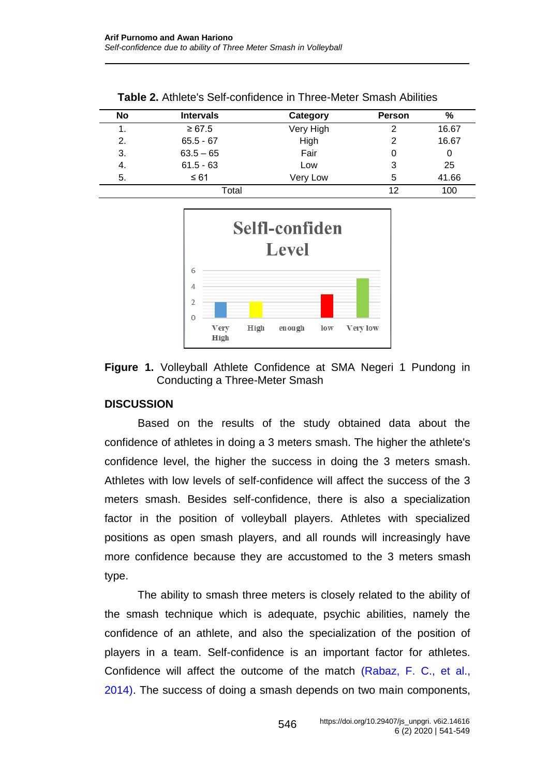| No    | <b>Intervals</b> | Category  | <b>Person</b> | %     |
|-------|------------------|-----------|---------------|-------|
| 1.    | $\ge 67.5$       | Very High | 2             | 16.67 |
| 2.    | $65.5 - 67$      | High      | 2             | 16.67 |
| 3.    | $63.5 - 65$      | Fair      | 0             | 0     |
| 4.    | $61.5 - 63$      | Low       | 3             | 25    |
| 5.    | $\leq 61$        | Very Low  | 5             | 41.66 |
| Total |                  |           | 12            | 100   |

**Table 2.** Athlete's Self-confidence in Three-Meter Smash Abilities



**Figure 1.** Volleyball Athlete Confidence at SMA Negeri 1 Pundong in Conducting a Three-Meter Smash

### **DISCUSSION**

Based on the results of the study obtained data about the confidence of athletes in doing a 3 meters smash. The higher the athlete's confidence level, the higher the success in doing the 3 meters smash. Athletes with low levels of self-confidence will affect the success of the 3 meters smash. Besides self-confidence, there is also a specialization factor in the position of volleyball players. Athletes with specialized positions as open smash players, and all rounds will increasingly have more confidence because they are accustomed to the 3 meters smash type.

The ability to smash three meters is closely related to the ability of the smash technique which is adequate, psychic abilities, namely the confidence of an athlete, and also the specialization of the position of players in a team. Self-confidence is an important factor for athletes. Confidence will affect the outcome of the match [\(Rabaz, F. C., et al.,](#page-8-0)  [2014\).](#page-8-0) The success of doing a smash depends on two main components,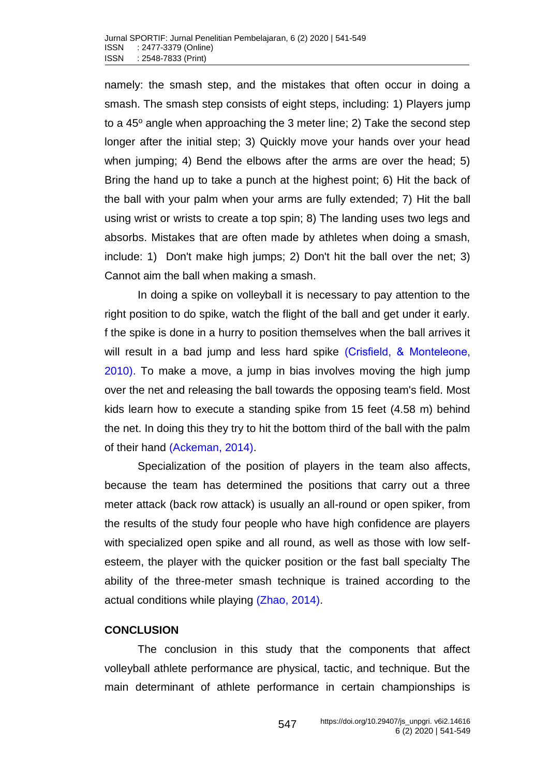namely: the smash step, and the mistakes that often occur in doing a smash. The smash step consists of eight steps, including: 1) Players jump to a  $45^\circ$  angle when approaching the 3 meter line; 2) Take the second step longer after the initial step; 3) Quickly move your hands over your head when jumping; 4) Bend the elbows after the arms are over the head; 5) Bring the hand up to take a punch at the highest point; 6) Hit the back of the ball with your palm when your arms are fully extended; 7) Hit the ball using wrist or wrists to create a top spin; 8) The landing uses two legs and absorbs. Mistakes that are often made by athletes when doing a smash, include: 1) Don't make high jumps; 2) Don't hit the ball over the net; 3) Cannot aim the ball when making a smash.

In doing a spike on volleyball it is necessary to pay attention to the right position to do spike, watch the flight of the ball and get under it early. f the spike is done in a hurry to position themselves when the ball arrives it will result in a bad jump and less hard spike [\(Crisfield, & Monteleone,](#page-7-5) [2010\).](#page-7-5) To make a move, a jump in bias involves moving the high jump over the net and releasing the ball towards the opposing team's field. Most kids learn how to execute a standing spike from 15 feet (4.58 m) behind the net. In doing this they try to hit the bottom third of the ball with the palm of their hand [\(Ackeman, 2014\).](#page-7-6)

Specialization of the position of players in the team also affects, because the team has determined the positions that carry out a three meter attack (back row attack) is usually an all-round or open spiker, from the results of the study four people who have high confidence are players with specialized open spike and all round, as well as those with low selfesteem, the player with the quicker position or the fast ball specialty The ability of the three-meter smash technique is trained according to the actual conditions while playing [\(Zhao, 2014\).](#page-8-2)

### **CONCLUSION**

The conclusion in this study that the components that affect volleyball athlete performance are physical, tactic, and technique. But the main determinant of athlete performance in certain championships is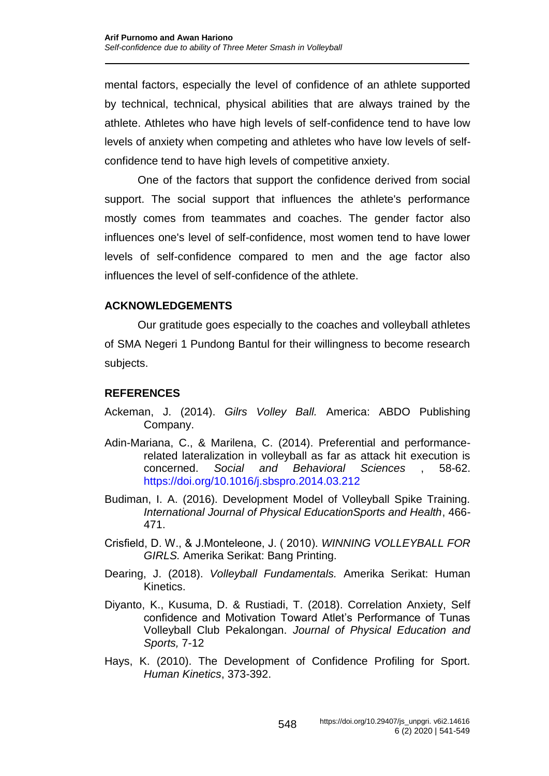mental factors, especially the level of confidence of an athlete supported by technical, technical, physical abilities that are always trained by the athlete. Athletes who have high levels of self-confidence tend to have low levels of anxiety when competing and athletes who have low levels of selfconfidence tend to have high levels of competitive anxiety.

One of the factors that support the confidence derived from social support. The social support that influences the athlete's performance mostly comes from teammates and coaches. The gender factor also influences one's level of self-confidence, most women tend to have lower levels of self-confidence compared to men and the age factor also influences the level of self-confidence of the athlete.

# **ACKNOWLEDGEMENTS**

Our gratitude goes especially to the coaches and volleyball athletes of SMA Negeri 1 Pundong Bantul for their willingness to become research subjects.

# **REFERENCES**

- <span id="page-7-6"></span>Ackeman, J. (2014). *Gilrs Volley Ball.* America: ABDO Publishing Company.
- <span id="page-7-0"></span>Adin-Mariana, C., & Marilena, C. (2014). Preferential and performancerelated lateralization in volleyball as far as attack hit execution is concerned. *Social and Behavioral Sciences* , 58-62. <https://doi.org/10.1016/j.sbspro.2014.03.212>
- <span id="page-7-1"></span>Budiman, I. A. (2016). Development Model of Volleyball Spike Training. *International Journal of Physical EducationSports and Health*, 466- 471.
- <span id="page-7-5"></span>Crisfield, D. W., & J.Monteleone, J. ( 2010). *WINNING VOLLEYBALL FOR GIRLS.* Amerika Serikat: Bang Printing.
- <span id="page-7-2"></span>Dearing, J. (2018). *Volleyball Fundamentals.* Amerika Serikat: Human Kinetics.
- <span id="page-7-4"></span>Diyanto, K., Kusuma, D. & Rustiadi, T. (2018). Correlation Anxiety, Self confidence and Motivation Toward Atlet's Performance of Tunas Volleyball Club Pekalongan. *Journal of Physical Education and Sports,* 7-12
- <span id="page-7-3"></span>Hays, K. (2010). The Development of Confidence Profiling for Sport. *Human Kinetics*, 373-392.